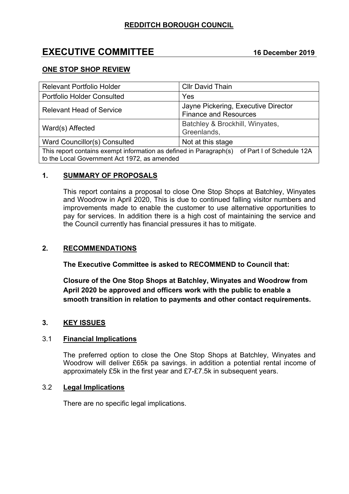# **EXECUTIVE COMMITTEE 16 December 2019**

## **ONE STOP SHOP REVIEW**

| <b>Relevant Portfolio Holder</b>                                                                                                             | <b>Cllr David Thain</b>                                             |
|----------------------------------------------------------------------------------------------------------------------------------------------|---------------------------------------------------------------------|
| <b>Portfolio Holder Consulted</b>                                                                                                            | Yes                                                                 |
| <b>Relevant Head of Service</b>                                                                                                              | Jayne Pickering, Executive Director<br><b>Finance and Resources</b> |
| Ward(s) Affected                                                                                                                             | Batchley & Brockhill, Winyates,<br>Greenlands,                      |
| Ward Councillor(s) Consulted                                                                                                                 | Not at this stage                                                   |
| This report contains exempt information as defined in Paragraph(s) of Part I of Schedule 12A<br>to the Local Government Act 1972, as amended |                                                                     |

### **1. SUMMARY OF PROPOSALS**

This report contains a proposal to close One Stop Shops at Batchley, Winyates and Woodrow in April 2020, This is due to continued falling visitor numbers and improvements made to enable the customer to use alternative opportunities to pay for services. In addition there is a high cost of maintaining the service and the Council currently has financial pressures it has to mitigate.

### **2. RECOMMENDATIONS**

**The Executive Committee is asked to RECOMMEND to Council that:**

**Closure of the One Stop Shops at Batchley, Winyates and Woodrow from April 2020 be approved and officers work with the public to enable a smooth transition in relation to payments and other contact requirements.**

# **3. KEY ISSUES**

### 3.1 **Financial Implications**

The preferred option to close the One Stop Shops at Batchley, Winyates and Woodrow will deliver £65k pa savings. in addition a potential rental income of approximately £5k in the first year and £7-£7.5k in subsequent years.

### 3.2 **Legal Implications**

There are no specific legal implications.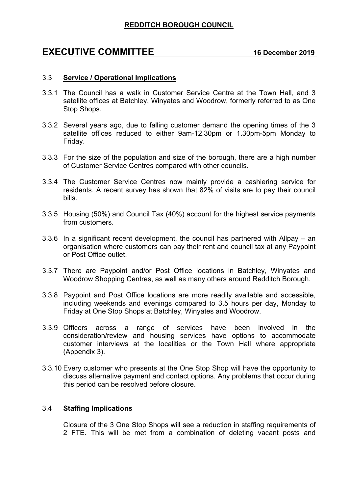# **REDDITCH BOROUGH COUNCIL**

# **EXECUTIVE COMMITTEE 16 December 2019**

#### 3.3 **Service / Operational Implications**

- 3.3.1 The Council has a walk in Customer Service Centre at the Town Hall, and 3 satellite offices at Batchley, Winyates and Woodrow, formerly referred to as One Stop Shops.
- 3.3.2 Several years ago, due to falling customer demand the opening times of the 3 satellite offices reduced to either 9am-12.30pm or 1.30pm-5pm Monday to Friday.
- 3.3.3 For the size of the population and size of the borough, there are a high number of Customer Service Centres compared with other councils.
- 3.3.4 The Customer Service Centres now mainly provide a cashiering service for residents. A recent survey has shown that 82% of visits are to pay their council bills.
- 3.3.5 Housing (50%) and Council Tax (40%) account for the highest service payments from customers.
- 3.3.6 In a significant recent development, the council has partnered with Allpay an organisation where customers can pay their rent and council tax at any Paypoint or Post Office outlet.
- 3.3.7 There are Paypoint and/or Post Office locations in Batchley, Winyates and Woodrow Shopping Centres, as well as many others around Redditch Borough.
- 3.3.8 Paypoint and Post Office locations are more readily available and accessible, including weekends and evenings compared to 3.5 hours per day, Monday to Friday at One Stop Shops at Batchley, Winyates and Woodrow.
- 3.3.9 Officers across a range of services have been involved in the consideration/review and housing services have options to accommodate customer interviews at the localities or the Town Hall where appropriate (Appendix 3).
- 3.3.10 Every customer who presents at the One Stop Shop will have the opportunity to discuss alternative payment and contact options. Any problems that occur during this period can be resolved before closure.

### 3.4 **Staffing Implications**

Closure of the 3 One Stop Shops will see a reduction in staffing requirements of 2 FTE. This will be met from a combination of deleting vacant posts and